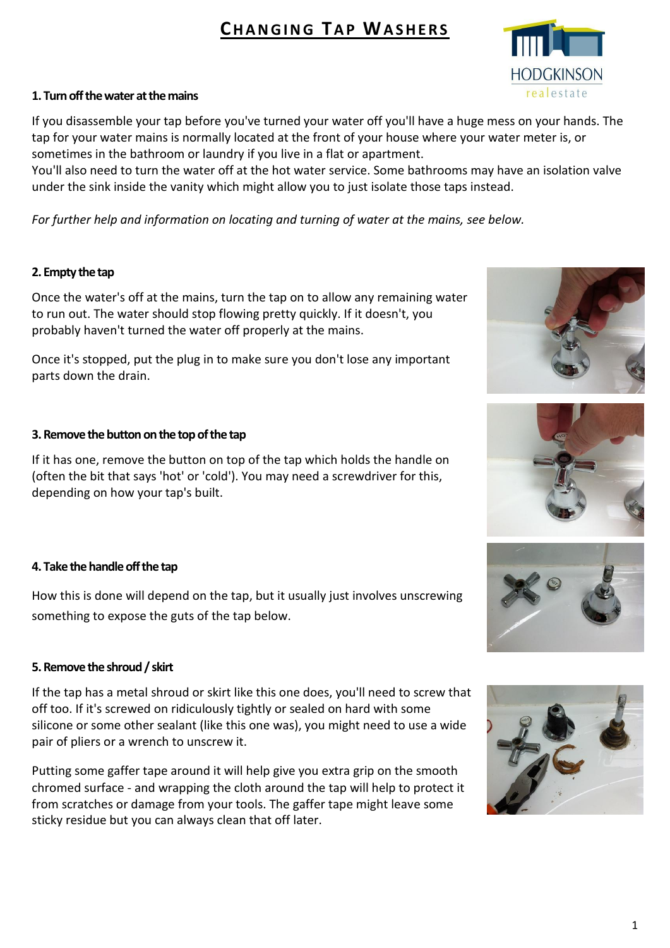# **CH A N G I N G TA P WA S H E R S**



#### **1. Turn off the water at the mains**

If you disassemble your tap before you've turned your water off you'll have a huge mess on your hands. The tap for your water mains is normally located at the front of your house where your water meter is, or sometimes in the bathroom or laundry if you live in a flat or apartment.

You'll also need to turn the water off at the hot water service. Some bathrooms may have an isolation valve under the sink inside the vanity which might allow you to just isolate those taps instead.

*For further help and information on locating and turning of water at the mains, see below.*

### **2. Empty the tap**

Once the water's off at the mains, turn the tap on to allow any remaining water to run out. The water should stop flowing pretty quickly. If it doesn't, you probably haven't turned the water off properly at the mains.

Once it's stopped, put the plug in to make sure you don't lose any important parts down the drain.

### **3. Remove the button on the top of the tap**

If it has one, remove the button on top of the tap which holds the handle on (often the bit that says 'hot' or 'cold'). You may need a screwdriver for this, depending on how your tap's built.

# **4. Take the handle off the tap**

How this is done will depend on the tap, but it usually just involves unscrewing something to expose the guts of the tap below.

#### **5. Remove the shroud / skirt**

If the tap has a metal shroud or skirt like this one does, you'll need to screw that off too. If it's screwed on ridiculously tightly or sealed on hard with some silicone or some other sealant (like this one was), you might need to use a wide pair of pliers or a wrench to unscrew it.

Putting some gaffer tape around it will help give you extra grip on the smooth chromed surface - and wrapping the cloth around the tap will help to protect it from scratches or damage from your tools. The gaffer tape might leave some sticky residue but you can always clean that off later.







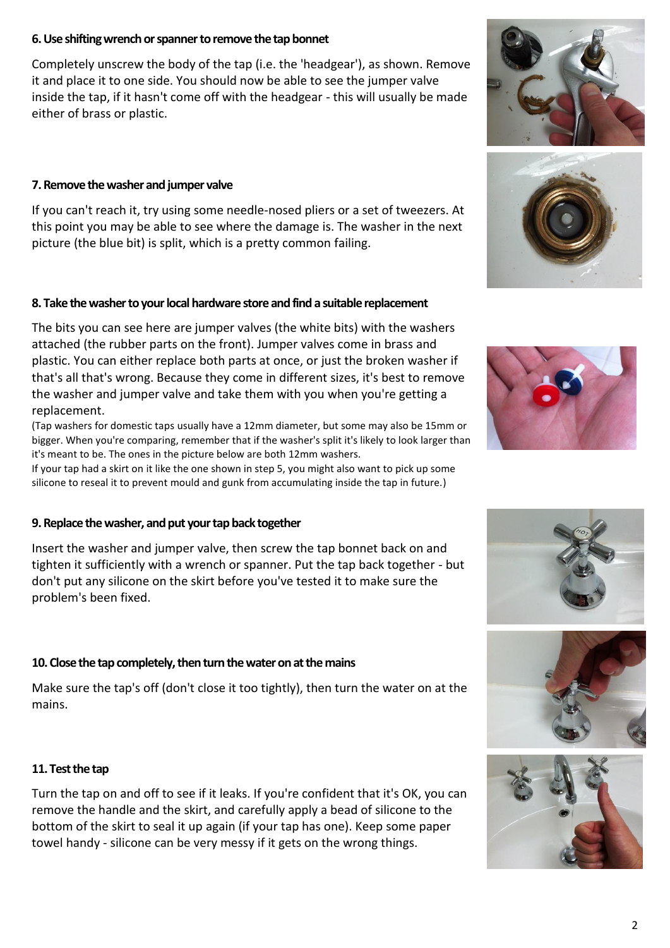#### **6. Use shifting wrench or spanner to remove the tap bonnet**

Completely unscrew the body of the tap (i.e. the 'headgear'), as shown. Remove it and place it to one side. You should now be able to see the jumper valve inside the tap, if it hasn't come off with the headgear - this will usually be made either of brass or plastic.

#### **7. Remove the washer and jumper valve**

If you can't reach it, try using some needle-nosed pliers or a set of tweezers. At this point you may be able to see where the damage is. The washer in the next picture (the blue bit) is split, which is a pretty common failing.

#### **8. Take the washer to your local hardware store and find a suitable replacement**

The bits you can see here are jumper valves (the white bits) with the washers attached (the rubber parts on the front). Jumper valves come in brass and plastic. You can either replace both parts at once, or just the broken washer if that's all that's wrong. Because they come in different sizes, it's best to remove the washer and jumper valve and take them with you when you're getting a replacement.

(Tap washers for domestic taps usually have a 12mm diameter, but some may also be 15mm or bigger. When you're comparing, remember that if the washer's split it's likely to look larger than it's meant to be. The ones in the picture below are both 12mm washers.

If your tap had a skirt on it like the one shown in step 5, you might also want to pick up some silicone to reseal it to prevent mould and gunk from accumulating inside the tap in future.)

# **9. Replace the washer, and put your tap back together**

Insert the washer and jumper valve, then screw the tap bonnet back on and tighten it sufficiently with a wrench or spanner. Put the tap back together - but don't put any silicone on the skirt before you've tested it to make sure the problem's been fixed.

# **10. Close the tap completely, then turn the water on at the mains**

Make sure the tap's off (don't close it too tightly), then turn the water on at the mains.

# **11. Test the tap**

Turn the tap on and off to see if it leaks. If you're confident that it's OK, you can remove the handle and the skirt, and carefully apply a bead of silicone to the bottom of the skirt to seal it up again (if your tap has one). Keep some paper towel handy - silicone can be very messy if it gets on the wrong things.











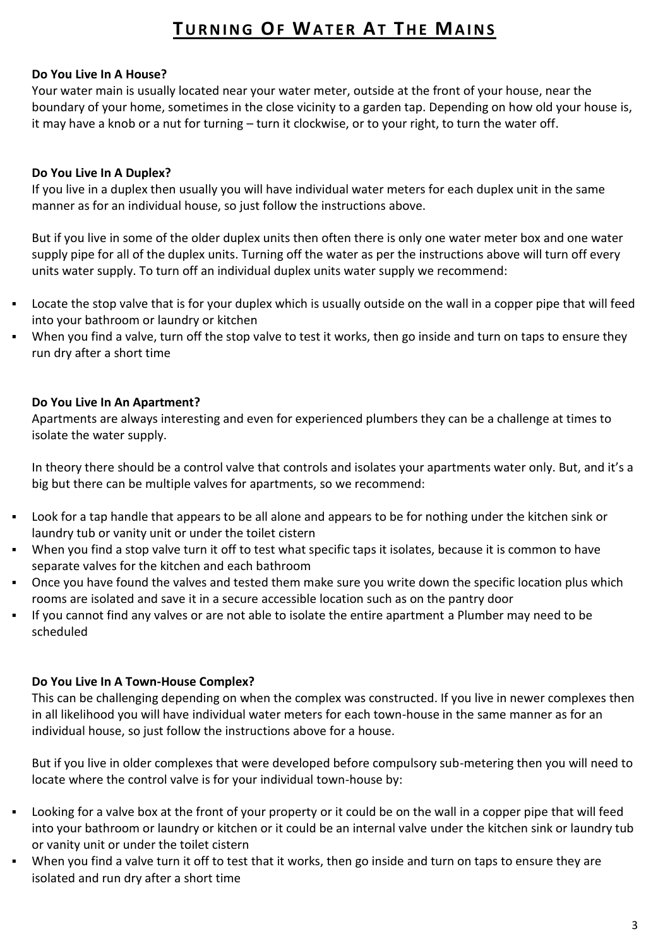# **TURNING OF WATER AT THE MAINS**

### **Do You Live In A House?**

Your water main is usually located near your water meter, outside at the front of your house, near the boundary of your home, sometimes in the close vicinity to a garden tap. Depending on how old your house is, it may have a knob or a nut for turning – turn it clockwise, or to your right, to turn the water off.

### **Do You Live In A Duplex?**

If you live in a duplex then usually you will have individual water meters for each duplex unit in the same manner as for an individual house, so just follow the instructions above.

But if you live in some of the older duplex units then often there is only one water meter box and one water supply pipe for all of the duplex units. Turning off the water as per the instructions above will turn off every units water supply. To turn off an individual duplex units water supply we recommend:

- Locate the stop valve that is for your duplex which is usually outside on the wall in a copper pipe that will feed into your bathroom or laundry or kitchen
- When you find a valve, turn off the stop valve to test it works, then go inside and turn on taps to ensure they run dry after a short time

### **Do You Live In An Apartment?**

Apartments are always interesting and even for experienced plumbers they can be a challenge at times to isolate the water supply.

In theory there should be a control valve that controls and isolates your apartments water only. But, and it's a big but there can be multiple valves for apartments, so we recommend:

- Look for a tap handle that appears to be all alone and appears to be for nothing under the kitchen sink or laundry tub or vanity unit or under the toilet cistern
- When you find a stop valve turn it off to test what specific taps it isolates, because it is common to have separate valves for the kitchen and each bathroom
- Once you have found the valves and tested them make sure you write down the specific location plus which rooms are isolated and save it in a secure accessible location such as on the pantry door
- If you cannot find any valves or are not able to isolate the entire apartment a Plumber may need to be scheduled

#### **Do You Live In A Town-House Complex?**

This can be challenging depending on when the complex was constructed. If you live in newer complexes then in all likelihood you will have individual water meters for each town-house in the same manner as for an individual house, so just follow the instructions above for a house.

But if you live in older complexes that were developed before compulsory sub-metering then you will need to locate where the control valve is for your individual town-house by:

- Looking for a valve box at the front of your property or it could be on the wall in a copper pipe that will feed into your bathroom or laundry or kitchen or it could be an internal valve under the kitchen sink or laundry tub or vanity unit or under the toilet cistern
- When you find a valve turn it off to test that it works, then go inside and turn on taps to ensure they are isolated and run dry after a short time